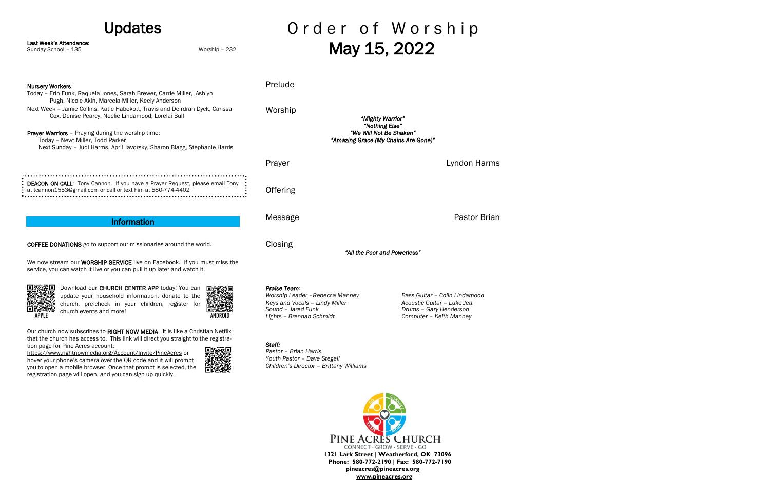#### Updates

Last Week's Attendance:

Sunday School – 135 Worship – 232

## Order of Worship May 15, 2022

PINE ACRES CHURCH CONNECT · GROW · SERVE · GO **1321 Lark Street | Weatherford, OK 73096 Phone: 580-772-2190 | Fax: 580-772-7190 [pineacres@pineacres.org](mailto:pineacres@pineacres.org) [www.pineacres.org](http://www.pineacres.org/)**

Prelude Nursery Workers Today – Erin Funk, Raquela Jones, Sarah Brewer, Carrie Miller, Ashlyn Pugh, Nicole Akin, Marcela Miller, Keely Anderson Next Week – Jamie Collins, Katie Habekott, Travis and Deirdrah Dyck, Carissa Worship Cox, Denise Pearcy, Neelie Lindamood, Lorelai Bull *"Mighty Warrior" "Nothing Else" "We Will Not Be Shaken"*  Prayer Warriors - Praying during the worship time: *"Amazing Grace (My Chains Are Gone)"*  Today – Newt Miller, Todd Parker Next Sunday – Judi Harms, April Javorsky, Sharon Blagg, Stephanie Harris Prayer Lyndon Harms DEACON ON CALL: Tony Cannon. If you have a Prayer Request, please email Tony **Offering** at tcannon1553@gmail.com or call or text him at 580-774-4402 . Message **Pastor Brian** Information COFFEE DONATIONS go to support our missionaries around the world. Closing *"All the Poor and Powerless"*  We now stream our **WORSHIP SERVICE** live on Facebook. If you must miss the service, you can watch it live or you can pull it up later and watch it. ■核想<br>科学 Download our CHURCH CENTER APP today! You can *Praise Team: Worship Leader –Rebecca Manney Bass Guitar – Colin Lindamood* update your household information, donate to the *Keys and Vocals – Lindy Miller Acoustic Guitar – Luke Jett* church, pre-check in your children, register for **Except** *Sound – Jared Funk Drums – Gary Henderson* church events and more! APPLE **ANDROL** *Lights – Brennan Schmidt Computer – Keith Manney* Our church now subscribes to RIGHT NOW MEDIA. It is like a Christian Netflix that the church has access to. This link will direct you straight to the registra-*Staff:*  tion page for Pine Acres account: 回报采回 *Pastor – Brian Harris* <https://www.rightnowmedia.org/Account/Invite/PineAcres> or *Youth Pastor – Dave Stegall* hover your phone's camera over the QR code and it will prompt *Children's Director – Brittany Williams*  you to open a mobile browser. Once that prompt is selected, the registration page will open, and you can sign up quickly.